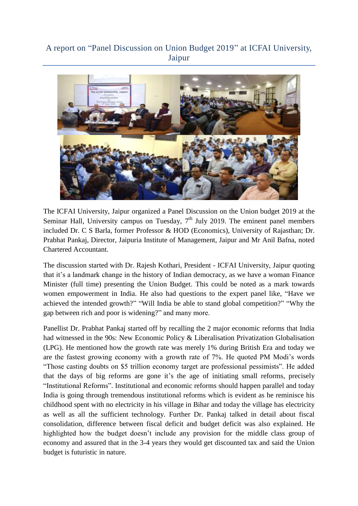## A report on "Panel Discussion on Union Budget 2019" at ICFAI University, Jaipur



The ICFAI University, Jaipur organized a Panel Discussion on the Union budget 2019 at the Seminar Hall, University campus on Tuesday,  $7<sup>th</sup>$  July 2019. The eminent panel members included Dr. C S Barla, former Professor & HOD (Economics), University of Rajasthan; Dr. Prabhat Pankaj, Director, Jaipuria Institute of Management, Jaipur and Mr Anil Bafna, noted Chartered Accountant.

The discussion started with Dr. Rajesh Kothari, President - ICFAI University, Jaipur quoting that it's a landmark change in the history of Indian democracy, as we have a woman Finance Minister (full time) presenting the Union Budget. This could be noted as a mark towards women empowerment in India. He also had questions to the expert panel like, "Have we achieved the intended growth?" "Will India be able to stand global competition?" "Why the gap between rich and poor is widening?" and many more.

Panellist Dr. Prabhat Pankaj started off by recalling the 2 major economic reforms that India had witnessed in the 90s: New Economic Policy & Liberalisation Privatization Globalisation (LPG). He mentioned how the growth rate was merely 1% during British Era and today we are the fastest growing economy with a growth rate of 7%. He quoted PM Modi's words "Those casting doubts on \$5 trillion economy target are professional pessimists". He added that the days of big reforms are gone it's the age of initiating small reforms, precisely "Institutional Reforms". Institutional and economic reforms should happen parallel and today India is going through tremendous institutional reforms which is evident as he reminisce his childhood spent with no electricity in his village in Bihar and today the village has electricity as well as all the sufficient technology. Further Dr. Pankaj talked in detail about fiscal consolidation, difference between fiscal deficit and budget deficit was also explained. He highlighted how the budget doesn't include any provision for the middle class group of economy and assured that in the 3-4 years they would get discounted tax and said the Union budget is futuristic in nature.